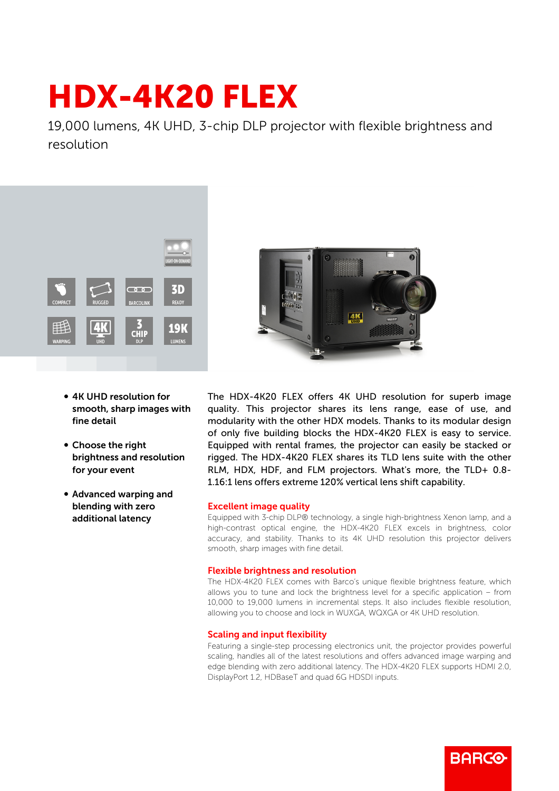# HDX-4K20 FLEX

19,000 lumens, 4K UHD, 3-chip DLP projector with flexible brightness and resolution



- 4K UHD resolution for smooth, sharp images with fine detail
- Choose the right brightness and resolution for your event
- b Advanced warping and blending with zero additional latency



The HDX-4K20 FLEX offers 4K UHD resolution for superb image quality. This projector shares its lens range, ease of use, and modularity with the other HDX models. Thanks to its modular design of only five building blocks the HDX-4K20 FLEX is easy to service. Equipped with rental frames, the projector can easily be stacked or rigged. The HDX-4K20 FLEX shares its TLD lens suite with the other RLM, HDX, HDF, and FLM projectors. What's more, the TLD+ 0.8- 1.16:1 lens offers extreme 120% vertical lens shift capability.

## Excellent image quality

Equipped with 3-chip DLP® technology, a single high-brightness Xenon lamp, and a high-contrast optical engine, the HDX-4K20 FLEX excels in brightness, color accuracy, and stability. Thanks to its 4K UHD resolution this projector delivers smooth, sharp images with fine detail.

## Flexible brightness and resolution

The HDX-4K20 FLEX comes with Barco's unique flexible brightness feature, which allows you to tune and lock the brightness level for a specific application – from 10,000 to 19,000 lumens in incremental steps. It also includes flexible resolution, allowing you to choose and lock in WUXGA, WQXGA or 4K UHD resolution.

#### Scaling and input flexibility

Featuring a single-step processing electronics unit, the projector provides powerful scaling, handles all of the latest resolutions and offers advanced image warping and edge blending with zero additional latency. The HDX-4K20 FLEX supports HDMI 2.0, DisplayPort 1.2, HDBaseT and quad 6G HDSDI inputs.